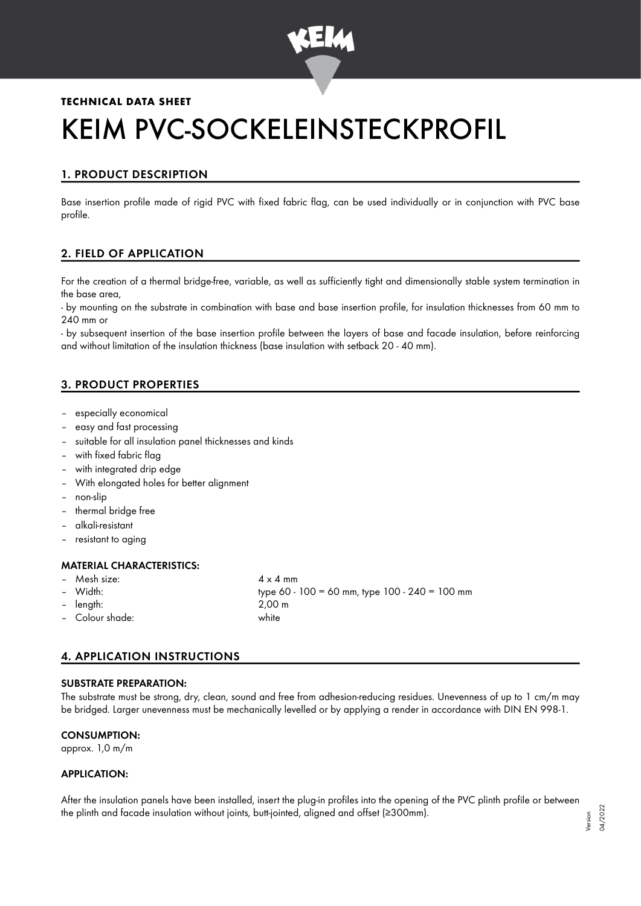

## **TECHNICAL DATA SHEET**

# KEIM PVC-SOCKELEINSTECKPROFIL

# 1. PRODUCT DESCRIPTION

Base insertion profile made of rigid PVC with fixed fabric flag, can be used individually or in conjunction with PVC base profile.

# 2. FIELD OF APPLICATION

For the creation of a thermal bridge-free, variable, as well as sufficiently tight and dimensionally stable system termination in the base area,

- by mounting on the substrate in combination with base and base insertion profile, for insulation thicknesses from 60 mm to 240 mm or

- by subsequent insertion of the base insertion profile between the layers of base and facade insulation, before reinforcing and without limitation of the insulation thickness (base insulation with setback 20 - 40 mm).

# 3. PRODUCT PROPERTIES

- especially economical
- easy and fast processing
- suitable for all insulation panel thicknesses and kinds
- with fixed fabric flag
- with integrated drip edge
- With elongated holes for better alignment
- non-slip
- thermal bridge free
- alkali-resistant
- resistant to aging

#### MATERIAL CHARACTERISTICS:

- Mesh size:  $4 \times 4$  mm
- 
- length: 2,00 m
- Colour shade: white

– Width: type 60 - 100 = 60 mm, type 100 - 240 = 100 mm

## 4. APPLICATION INSTRUCTIONS

#### SUBSTRATE PREPARATION:

The substrate must be strong, dry, clean, sound and free from adhesion-reducing residues. Unevenness of up to 1 cm/m may be bridged. Larger unevenness must be mechanically levelled or by applying a render in accordance with DIN EN 998-1.

#### CONSUMPTION:

approx. 1,0 m/m

#### APPLICATION:

After the insulation panels have been installed, insert the plug-in profiles into the opening of the PVC plinth profile or between the plinth and facade insulation without joints, butt-jointed, aligned and offset (≥300mm).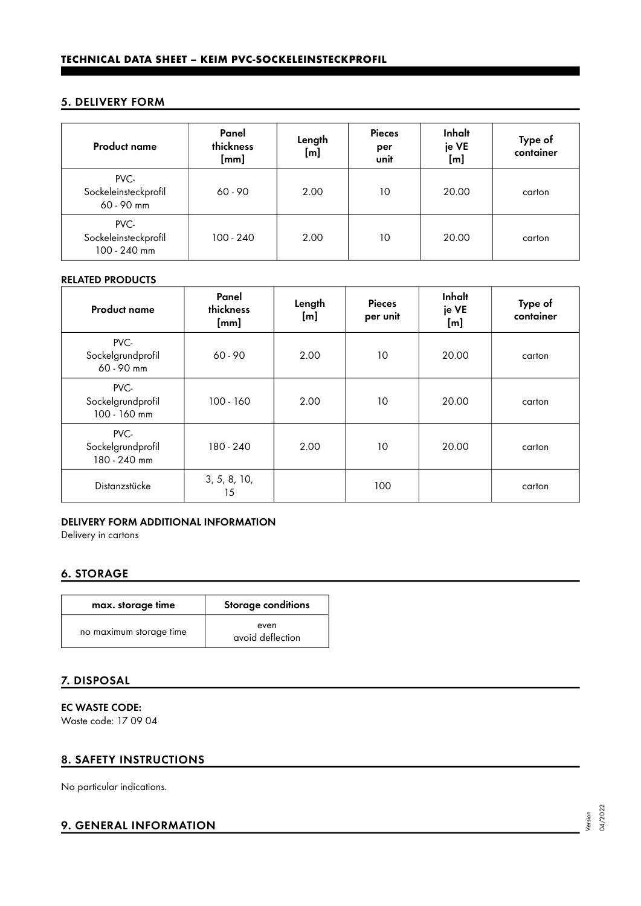## 5. DELIVERY FORM

| <b>Product name</b>                          | Panel<br>thickness<br>[mm] | Length<br>[m] | <b>Pieces</b><br>per<br>unit | Inhalt<br>je VE<br>[m] | Type of<br>container |
|----------------------------------------------|----------------------------|---------------|------------------------------|------------------------|----------------------|
| PVC-<br>Sockeleinsteckprofil<br>60 - 90 mm   | $60 - 90$                  | 2.00          | 10                           | 20.00                  | carton               |
| PVC-<br>Sockeleinsteckprofil<br>100 - 240 mm | $100 - 240$                | 2.00          | 10                           | 20.00                  | carton               |

#### RELATED PRODUCTS

| <b>Product name</b>                       | Panel<br>thickness<br>[mm] | Length<br>[m] | <b>Pieces</b><br>per unit | Inhalt<br>je VE<br>[m] | Type of<br>container |
|-------------------------------------------|----------------------------|---------------|---------------------------|------------------------|----------------------|
| PVC-<br>Sockelgrundprofil<br>60 - 90 mm   | $60 - 90$                  | 2.00          | 10                        | 20.00                  | carton               |
| PVC-<br>Sockelgrundprofil<br>100 - 160 mm | $100 - 160$                | 2.00          | 10                        | 20.00                  | carton               |
| PVC-<br>Sockelgrundprofil<br>180 - 240 mm | 180 - 240                  | 2.00          | 10                        | 20.00                  | carton               |
| Distanzstücke                             | 3, 5, 8, 10,<br>15         |               | 100                       |                        | carton               |

#### DELIVERY FORM ADDITIONAL INFORMATION

Delivery in cartons

# 6. STORAGE

| max. storage time       | Storage conditions       |  |  |
|-------------------------|--------------------------|--|--|
| no maximum storage time | even<br>avoid deflection |  |  |

## 7. DISPOSAL

EC WASTE CODE: Waste code: 17 09 04

# 8. SAFETY INSTRUCTIONS

No particular indications.

# 9. GENERAL INFORMATION

Version 04/2022